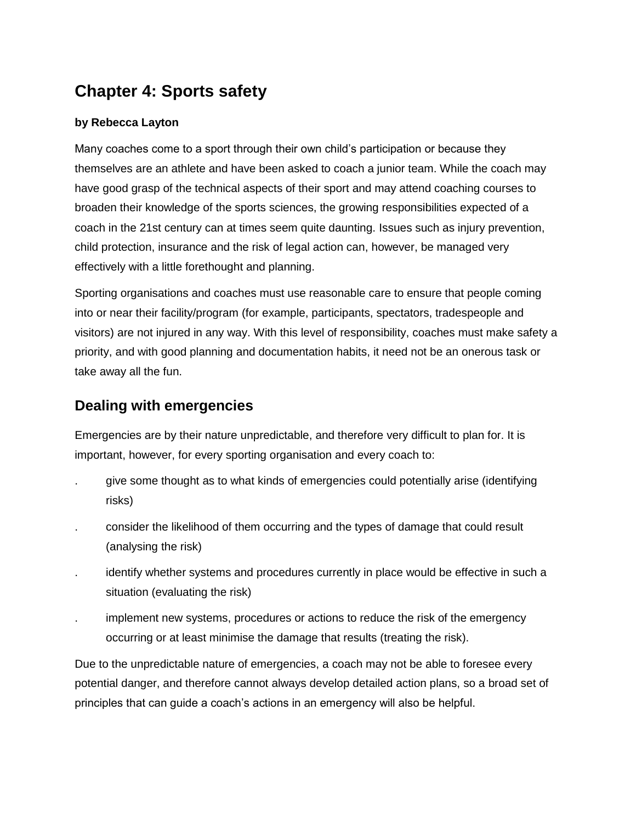## **Chapter 4: Sports safety**

#### **by Rebecca Layton**

Many coaches come to a sport through their own child's participation or because they themselves are an athlete and have been asked to coach a junior team. While the coach may have good grasp of the technical aspects of their sport and may attend coaching courses to broaden their knowledge of the sports sciences, the growing responsibilities expected of a coach in the 21st century can at times seem quite daunting. Issues such as injury prevention, child protection, insurance and the risk of legal action can, however, be managed very effectively with a little forethought and planning.

Sporting organisations and coaches must use reasonable care to ensure that people coming into or near their facility/program (for example, participants, spectators, tradespeople and visitors) are not injured in any way. With this level of responsibility, coaches must make safety a priority, and with good planning and documentation habits, it need not be an onerous task or take away all the fun.

### **Dealing with emergencies**

Emergencies are by their nature unpredictable, and therefore very difficult to plan for. It is important, however, for every sporting organisation and every coach to:

- . give some thought as to what kinds of emergencies could potentially arise (identifying risks)
- . consider the likelihood of them occurring and the types of damage that could result (analysing the risk)
- identify whether systems and procedures currently in place would be effective in such a situation (evaluating the risk)
- implement new systems, procedures or actions to reduce the risk of the emergency occurring or at least minimise the damage that results (treating the risk).

Due to the unpredictable nature of emergencies, a coach may not be able to foresee every potential danger, and therefore cannot always develop detailed action plans, so a broad set of principles that can guide a coach's actions in an emergency will also be helpful.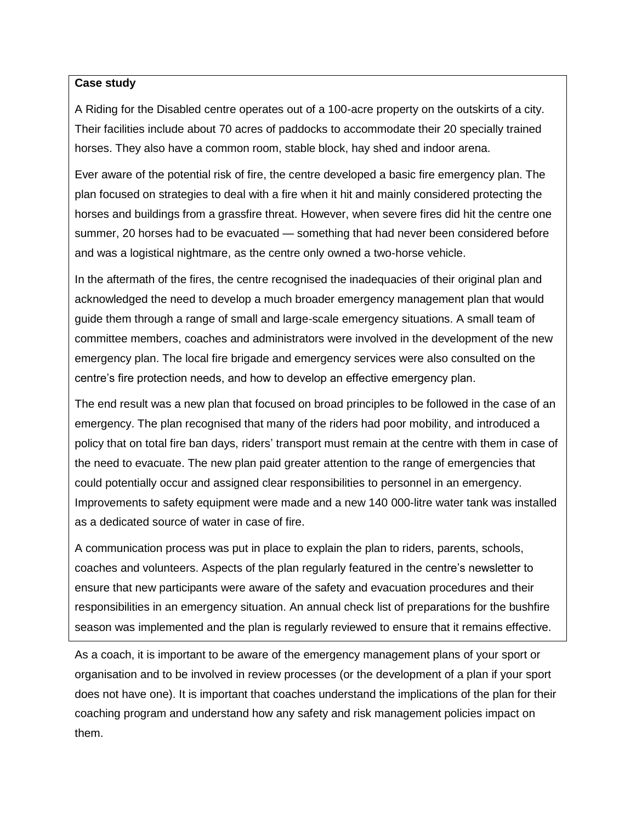#### **Case study**

A Riding for the Disabled centre operates out of a 100-acre property on the outskirts of a city. Their facilities include about 70 acres of paddocks to accommodate their 20 specially trained horses. They also have a common room, stable block, hay shed and indoor arena.

Ever aware of the potential risk of fire, the centre developed a basic fire emergency plan. The plan focused on strategies to deal with a fire when it hit and mainly considered protecting the horses and buildings from a grassfire threat. However, when severe fires did hit the centre one summer, 20 horses had to be evacuated — something that had never been considered before and was a logistical nightmare, as the centre only owned a two-horse vehicle.

In the aftermath of the fires, the centre recognised the inadequacies of their original plan and acknowledged the need to develop a much broader emergency management plan that would guide them through a range of small and large-scale emergency situations. A small team of committee members, coaches and administrators were involved in the development of the new emergency plan. The local fire brigade and emergency services were also consulted on the centre's fire protection needs, and how to develop an effective emergency plan.

The end result was a new plan that focused on broad principles to be followed in the case of an emergency. The plan recognised that many of the riders had poor mobility, and introduced a policy that on total fire ban days, riders' transport must remain at the centre with them in case of the need to evacuate. The new plan paid greater attention to the range of emergencies that could potentially occur and assigned clear responsibilities to personnel in an emergency. Improvements to safety equipment were made and a new 140 000-litre water tank was installed as a dedicated source of water in case of fire.

A communication process was put in place to explain the plan to riders, parents, schools, coaches and volunteers. Aspects of the plan regularly featured in the centre's newsletter to ensure that new participants were aware of the safety and evacuation procedures and their responsibilities in an emergency situation. An annual check list of preparations for the bushfire season was implemented and the plan is regularly reviewed to ensure that it remains effective.

As a coach, it is important to be aware of the emergency management plans of your sport or organisation and to be involved in review processes (or the development of a plan if your sport does not have one). It is important that coaches understand the implications of the plan for their coaching program and understand how any safety and risk management policies impact on them.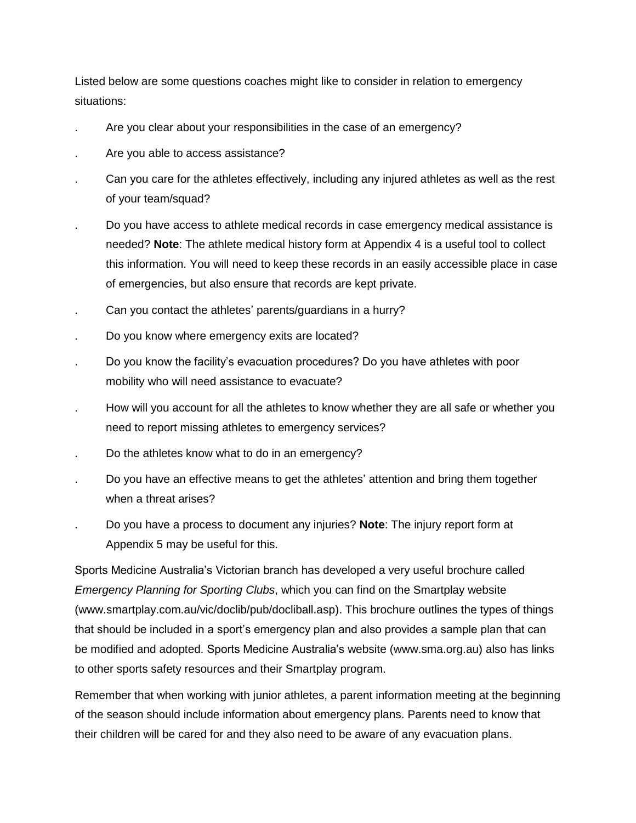Listed below are some questions coaches might like to consider in relation to emergency situations:

- . Are you clear about your responsibilities in the case of an emergency?
- Are you able to access assistance?
- . Can you care for the athletes effectively, including any injured athletes as well as the rest of your team/squad?
- . Do you have access to athlete medical records in case emergency medical assistance is needed? **Note**: The athlete medical history form at Appendix 4 is a useful tool to collect this information. You will need to keep these records in an easily accessible place in case of emergencies, but also ensure that records are kept private.
- . Can you contact the athletes' parents/guardians in a hurry?
- . Do you know where emergency exits are located?
- . Do you know the facility's evacuation procedures? Do you have athletes with poor mobility who will need assistance to evacuate?
- . How will you account for all the athletes to know whether they are all safe or whether you need to report missing athletes to emergency services?
- . Do the athletes know what to do in an emergency?
- . Do you have an effective means to get the athletes' attention and bring them together when a threat arises?
- . Do you have a process to document any injuries? **Note**: The injury report form at Appendix 5 may be useful for this.

Sports Medicine Australia's Victorian branch has developed a very useful brochure called *Emergency Planning for Sporting Clubs*, which you can find on the Smartplay website (www.smartplay.com.au/vic/doclib/pub/docliball.asp). This brochure outlines the types of things that should be included in a sport's emergency plan and also provides a sample plan that can be modified and adopted. Sports Medicine Australia's website (www.sma.org.au) also has links to other sports safety resources and their Smartplay program.

Remember that when working with junior athletes, a parent information meeting at the beginning of the season should include information about emergency plans. Parents need to know that their children will be cared for and they also need to be aware of any evacuation plans.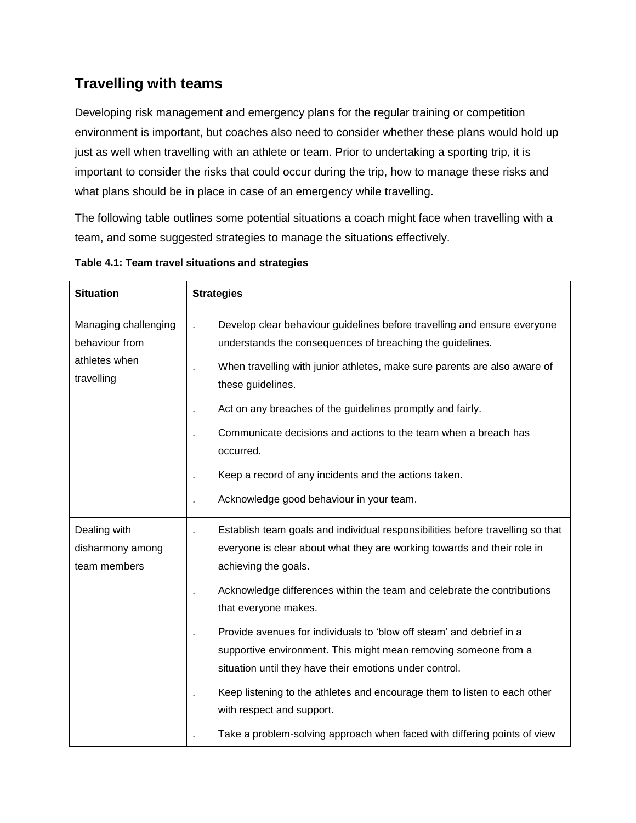## **Travelling with teams**

Developing risk management and emergency plans for the regular training or competition environment is important, but coaches also need to consider whether these plans would hold up just as well when travelling with an athlete or team. Prior to undertaking a sporting trip, it is important to consider the risks that could occur during the trip, how to manage these risks and what plans should be in place in case of an emergency while travelling.

The following table outlines some potential situations a coach might face when travelling with a team, and some suggested strategies to manage the situations effectively.

| <b>Situation</b>                                                      | <b>Strategies</b>                                                                                                                                                                                  |  |  |  |  |
|-----------------------------------------------------------------------|----------------------------------------------------------------------------------------------------------------------------------------------------------------------------------------------------|--|--|--|--|
| Managing challenging<br>behaviour from<br>athletes when<br>travelling | Develop clear behaviour guidelines before travelling and ensure everyone<br>understands the consequences of breaching the guidelines.                                                              |  |  |  |  |
|                                                                       | When travelling with junior athletes, make sure parents are also aware of<br>these guidelines.                                                                                                     |  |  |  |  |
|                                                                       | Act on any breaches of the guidelines promptly and fairly.                                                                                                                                         |  |  |  |  |
|                                                                       | Communicate decisions and actions to the team when a breach has<br>occurred.                                                                                                                       |  |  |  |  |
|                                                                       | Keep a record of any incidents and the actions taken.                                                                                                                                              |  |  |  |  |
|                                                                       | Acknowledge good behaviour in your team.                                                                                                                                                           |  |  |  |  |
| Dealing with<br>disharmony among<br>team members                      | Establish team goals and individual responsibilities before travelling so that<br>everyone is clear about what they are working towards and their role in<br>achieving the goals.                  |  |  |  |  |
|                                                                       | Acknowledge differences within the team and celebrate the contributions<br>that everyone makes.                                                                                                    |  |  |  |  |
|                                                                       | Provide avenues for individuals to 'blow off steam' and debrief in a<br>supportive environment. This might mean removing someone from a<br>situation until they have their emotions under control. |  |  |  |  |
|                                                                       | Keep listening to the athletes and encourage them to listen to each other<br>with respect and support.                                                                                             |  |  |  |  |
|                                                                       | Take a problem-solving approach when faced with differing points of view                                                                                                                           |  |  |  |  |

**Table 4.1: Team travel situations and strategies**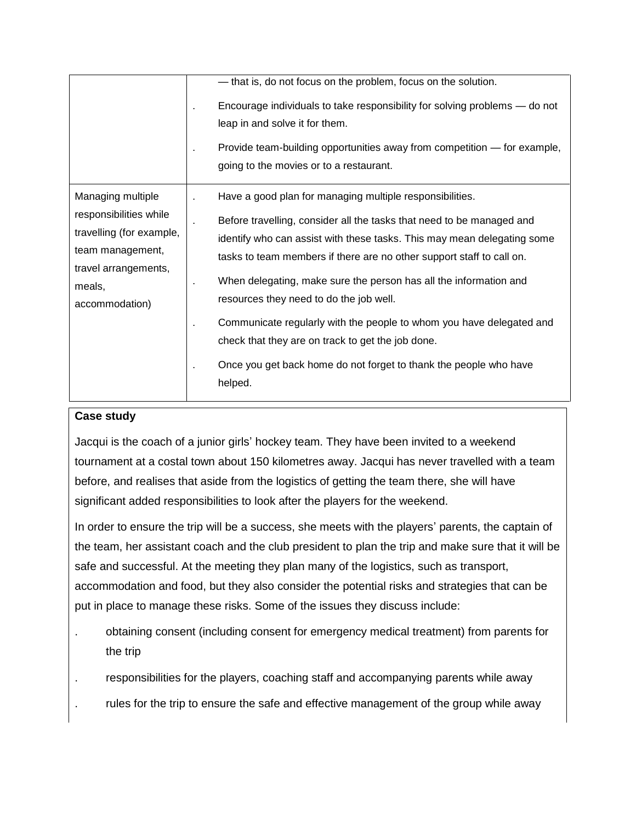|                                                                                                                                                 | - that is, do not focus on the problem, focus on the solution.<br>Encourage individuals to take responsibility for solving problems - do not<br>leap in and solve it for them.<br>Provide team-building opportunities away from competition - for example,<br>going to the movies or to a restaurant.                                                                                                                                                                                                                                                                                                              |
|-------------------------------------------------------------------------------------------------------------------------------------------------|--------------------------------------------------------------------------------------------------------------------------------------------------------------------------------------------------------------------------------------------------------------------------------------------------------------------------------------------------------------------------------------------------------------------------------------------------------------------------------------------------------------------------------------------------------------------------------------------------------------------|
| Managing multiple<br>responsibilities while<br>travelling (for example,<br>team management,<br>travel arrangements,<br>meals,<br>accommodation) | Have a good plan for managing multiple responsibilities.<br>Before travelling, consider all the tasks that need to be managed and<br>identify who can assist with these tasks. This may mean delegating some<br>tasks to team members if there are no other support staff to call on.<br>When delegating, make sure the person has all the information and<br>resources they need to do the job well.<br>Communicate regularly with the people to whom you have delegated and<br>check that they are on track to get the job done.<br>Once you get back home do not forget to thank the people who have<br>helped. |

#### **Case study**

Jacqui is the coach of a junior girls' hockey team. They have been invited to a weekend tournament at a costal town about 150 kilometres away. Jacqui has never travelled with a team before, and realises that aside from the logistics of getting the team there, she will have significant added responsibilities to look after the players for the weekend.

In order to ensure the trip will be a success, she meets with the players' parents, the captain of the team, her assistant coach and the club president to plan the trip and make sure that it will be safe and successful. At the meeting they plan many of the logistics, such as transport, accommodation and food, but they also consider the potential risks and strategies that can be put in place to manage these risks. Some of the issues they discuss include:

- . obtaining consent (including consent for emergency medical treatment) from parents for the trip
- . responsibilities for the players, coaching staff and accompanying parents while away
- . rules for the trip to ensure the safe and effective management of the group while away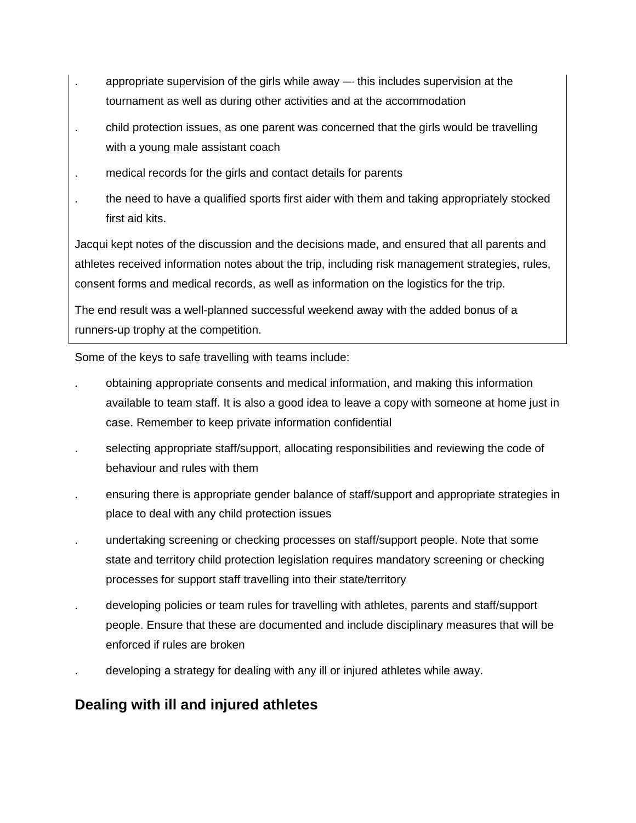- . appropriate supervision of the girls while away this includes supervision at the tournament as well as during other activities and at the accommodation
- . child protection issues, as one parent was concerned that the girls would be travelling with a young male assistant coach
- . medical records for the girls and contact details for parents
- . the need to have a qualified sports first aider with them and taking appropriately stocked first aid kits.

Jacqui kept notes of the discussion and the decisions made, and ensured that all parents and athletes received information notes about the trip, including risk management strategies, rules, consent forms and medical records, as well as information on the logistics for the trip.

The end result was a well-planned successful weekend away with the added bonus of a runners-up trophy at the competition.

Some of the keys to safe travelling with teams include:

- . obtaining appropriate consents and medical information, and making this information available to team staff. It is also a good idea to leave a copy with someone at home just in case. Remember to keep private information confidential
- selecting appropriate staff/support, allocating responsibilities and reviewing the code of behaviour and rules with them
- . ensuring there is appropriate gender balance of staff/support and appropriate strategies in place to deal with any child protection issues
- . undertaking screening or checking processes on staff/support people. Note that some state and territory child protection legislation requires mandatory screening or checking processes for support staff travelling into their state/territory
- . developing policies or team rules for travelling with athletes, parents and staff/support people. Ensure that these are documented and include disciplinary measures that will be enforced if rules are broken
- . developing a strategy for dealing with any ill or injured athletes while away.

## **Dealing with ill and injured athletes**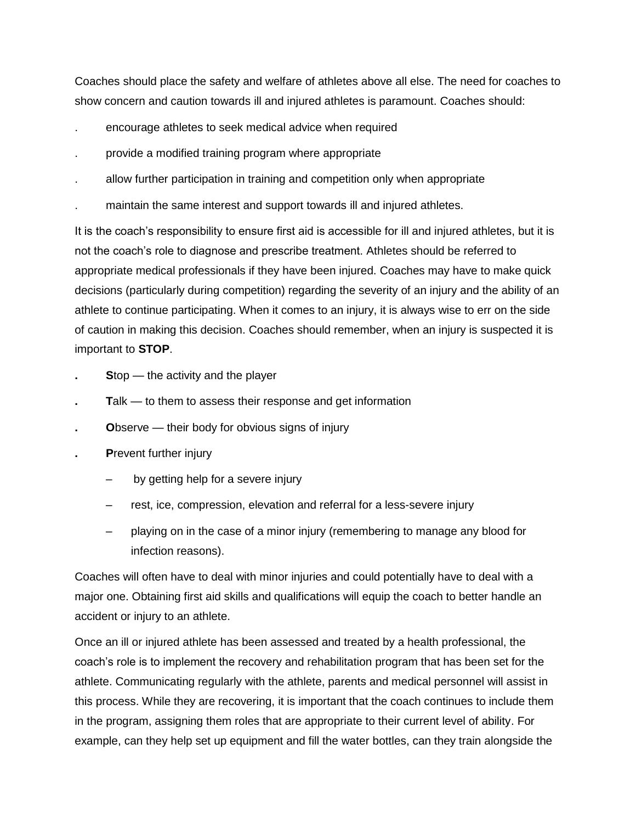Coaches should place the safety and welfare of athletes above all else. The need for coaches to show concern and caution towards ill and injured athletes is paramount. Coaches should:

- . encourage athletes to seek medical advice when required
- . provide a modified training program where appropriate
- . allow further participation in training and competition only when appropriate
- . maintain the same interest and support towards ill and injured athletes.

It is the coach's responsibility to ensure first aid is accessible for ill and injured athletes, but it is not the coach's role to diagnose and prescribe treatment. Athletes should be referred to appropriate medical professionals if they have been injured. Coaches may have to make quick decisions (particularly during competition) regarding the severity of an injury and the ability of an athlete to continue participating. When it comes to an injury, it is always wise to err on the side of caution in making this decision. Coaches should remember, when an injury is suspected it is important to **STOP**.

- **. S**top the activity and the player
- **Talk to them to assess their response and get information**
- **Observe their body for obvious signs of injury**
- **. P**revent further injury
	- by getting help for a severe injury
	- rest, ice, compression, elevation and referral for a less-severe injury
	- playing on in the case of a minor injury (remembering to manage any blood for infection reasons).

Coaches will often have to deal with minor injuries and could potentially have to deal with a major one. Obtaining first aid skills and qualifications will equip the coach to better handle an accident or injury to an athlete.

Once an ill or injured athlete has been assessed and treated by a health professional, the coach's role is to implement the recovery and rehabilitation program that has been set for the athlete. Communicating regularly with the athlete, parents and medical personnel will assist in this process. While they are recovering, it is important that the coach continues to include them in the program, assigning them roles that are appropriate to their current level of ability. For example, can they help set up equipment and fill the water bottles, can they train alongside the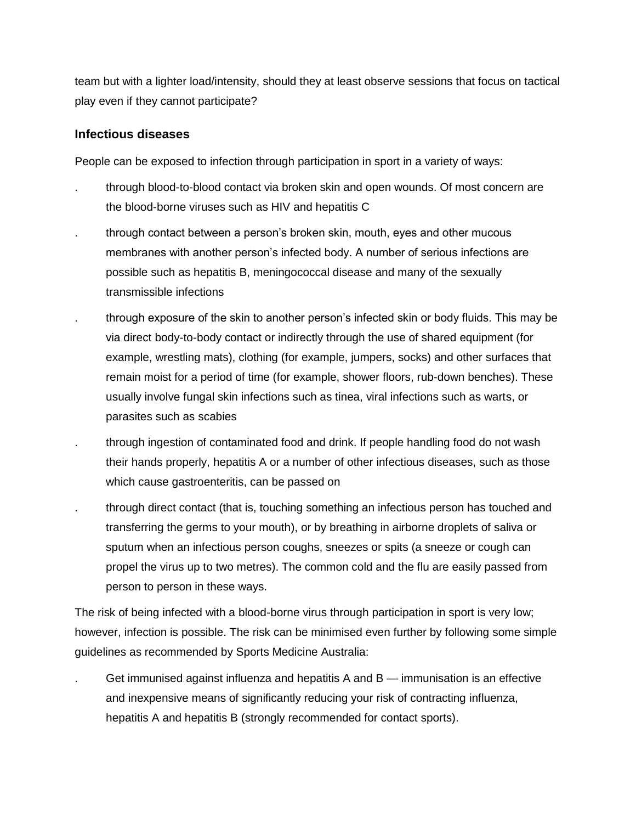team but with a lighter load/intensity, should they at least observe sessions that focus on tactical play even if they cannot participate?

#### **Infectious diseases**

People can be exposed to infection through participation in sport in a variety of ways:

- . through blood-to-blood contact via broken skin and open wounds. Of most concern are the blood-borne viruses such as HIV and hepatitis C
- . through contact between a person's broken skin, mouth, eyes and other mucous membranes with another person's infected body. A number of serious infections are possible such as hepatitis B, meningococcal disease and many of the sexually transmissible infections
- . through exposure of the skin to another person's infected skin or body fluids. This may be via direct body-to-body contact or indirectly through the use of shared equipment (for example, wrestling mats), clothing (for example, jumpers, socks) and other surfaces that remain moist for a period of time (for example, shower floors, rub-down benches). These usually involve fungal skin infections such as tinea, viral infections such as warts, or parasites such as scabies
- . through ingestion of contaminated food and drink. If people handling food do not wash their hands properly, hepatitis A or a number of other infectious diseases, such as those which cause gastroenteritis, can be passed on
- . through direct contact (that is, touching something an infectious person has touched and transferring the germs to your mouth), or by breathing in airborne droplets of saliva or sputum when an infectious person coughs, sneezes or spits (a sneeze or cough can propel the virus up to two metres). The common cold and the flu are easily passed from person to person in these ways.

The risk of being infected with a blood-borne virus through participation in sport is very low; however, infection is possible. The risk can be minimised even further by following some simple guidelines as recommended by Sports Medicine Australia:

. Get immunised against influenza and hepatitis A and B — immunisation is an effective and inexpensive means of significantly reducing your risk of contracting influenza, hepatitis A and hepatitis B (strongly recommended for contact sports).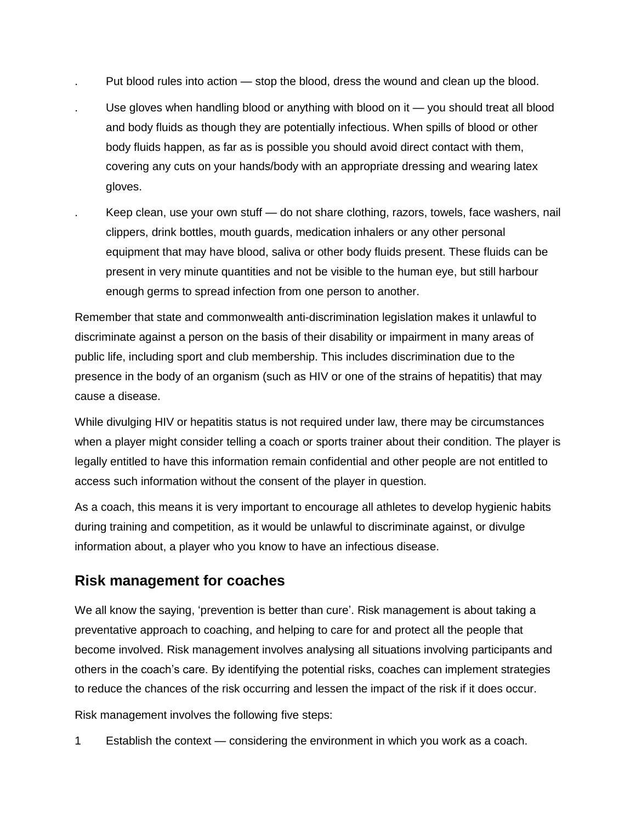- . Put blood rules into action stop the blood, dress the wound and clean up the blood.
- . Use gloves when handling blood or anything with blood on it you should treat all blood and body fluids as though they are potentially infectious. When spills of blood or other body fluids happen, as far as is possible you should avoid direct contact with them, covering any cuts on your hands/body with an appropriate dressing and wearing latex gloves.
	- Keep clean, use your own stuff do not share clothing, razors, towels, face washers, nail clippers, drink bottles, mouth guards, medication inhalers or any other personal equipment that may have blood, saliva or other body fluids present. These fluids can be present in very minute quantities and not be visible to the human eye, but still harbour enough germs to spread infection from one person to another.

Remember that state and commonwealth anti-discrimination legislation makes it unlawful to discriminate against a person on the basis of their disability or impairment in many areas of public life, including sport and club membership. This includes discrimination due to the presence in the body of an organism (such as HIV or one of the strains of hepatitis) that may cause a disease.

While divulging HIV or hepatitis status is not required under law, there may be circumstances when a player might consider telling a coach or sports trainer about their condition. The player is legally entitled to have this information remain confidential and other people are not entitled to access such information without the consent of the player in question.

As a coach, this means it is very important to encourage all athletes to develop hygienic habits during training and competition, as it would be unlawful to discriminate against, or divulge information about, a player who you know to have an infectious disease.

### **Risk management for coaches**

We all know the saying, 'prevention is better than cure'. Risk management is about taking a preventative approach to coaching, and helping to care for and protect all the people that become involved. Risk management involves analysing all situations involving participants and others in the coach's care. By identifying the potential risks, coaches can implement strategies to reduce the chances of the risk occurring and lessen the impact of the risk if it does occur.

Risk management involves the following five steps:

1 Establish the context — considering the environment in which you work as a coach.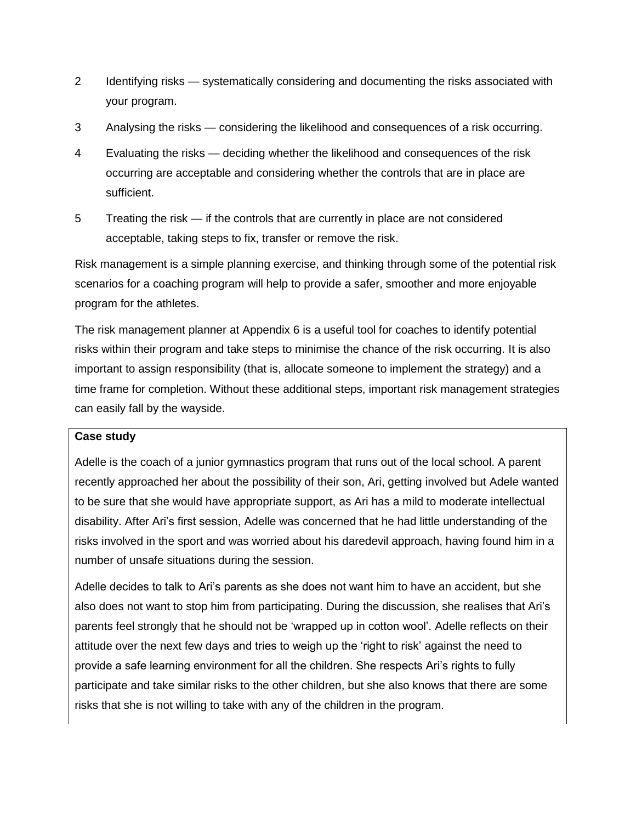- 2 Identifying risks systematically considering and documenting the risks associated with your program.
- 3 Analysing the risks considering the likelihood and consequences of a risk occurring.
- 4 Evaluating the risks deciding whether the likelihood and consequences of the risk occurring are acceptable and considering whether the controls that are in place are sufficient.
- 5 Treating the risk if the controls that are currently in place are not considered acceptable, taking steps to fix, transfer or remove the risk.

Risk management is a simple planning exercise, and thinking through some of the potential risk scenarios for a coaching program will help to provide a safer, smoother and more enjoyable program for the athletes.

The risk management planner at Appendix 6 is a useful tool for coaches to identify potential risks within their program and take steps to minimise the chance of the risk occurring. It is also important to assign responsibility (that is, allocate someone to implement the strategy) and a time frame for completion. Without these additional steps, important risk management strategies can easily fall by the wayside.

#### **Case study**

Adelle is the coach of a junior gymnastics program that runs out of the local school. A parent recently approached her about the possibility of their son, Ari, getting involved but Adele wanted to be sure that she would have appropriate support, as Ari has a mild to moderate intellectual disability. After Ari's first session, Adelle was concerned that he had little understanding of the risks involved in the sport and was worried about his daredevil approach, having found him in a number of unsafe situations during the session.

Adelle decides to talk to Ari's parents as she does not want him to have an accident, but she also does not want to stop him from participating. During the discussion, she realises that Ari's parents feel strongly that he should not be 'wrapped up in cotton wool'. Adelle reflects on their attitude over the next few days and tries to weigh up the 'right to risk' against the need to provide a safe learning environment for all the children. She respects Ari's rights to fully participate and take similar risks to the other children, but she also knows that there are some risks that she is not willing to take with any of the children in the program.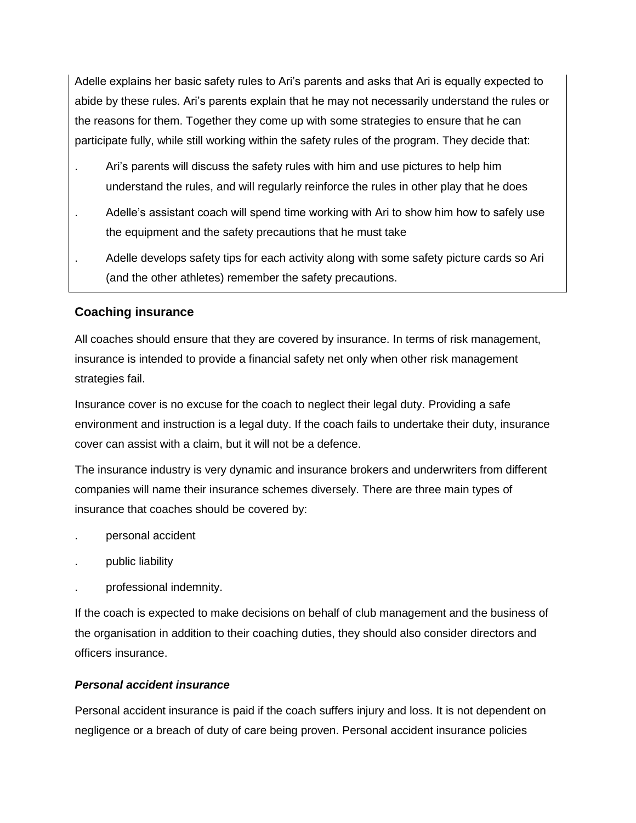Adelle explains her basic safety rules to Ari's parents and asks that Ari is equally expected to abide by these rules. Ari's parents explain that he may not necessarily understand the rules or the reasons for them. Together they come up with some strategies to ensure that he can participate fully, while still working within the safety rules of the program. They decide that:

- . Ari's parents will discuss the safety rules with him and use pictures to help him understand the rules, and will regularly reinforce the rules in other play that he does
- . Adelle's assistant coach will spend time working with Ari to show him how to safely use the equipment and the safety precautions that he must take
- . Adelle develops safety tips for each activity along with some safety picture cards so Ari (and the other athletes) remember the safety precautions.

#### **Coaching insurance**

All coaches should ensure that they are covered by insurance. In terms of risk management, insurance is intended to provide a financial safety net only when other risk management strategies fail.

Insurance cover is no excuse for the coach to neglect their legal duty. Providing a safe environment and instruction is a legal duty. If the coach fails to undertake their duty, insurance cover can assist with a claim, but it will not be a defence.

The insurance industry is very dynamic and insurance brokers and underwriters from different companies will name their insurance schemes diversely. There are three main types of insurance that coaches should be covered by:

- . personal accident
- . public liability
- . professional indemnity.

If the coach is expected to make decisions on behalf of club management and the business of the organisation in addition to their coaching duties, they should also consider directors and officers insurance.

#### *Personal accident insurance*

Personal accident insurance is paid if the coach suffers injury and loss. It is not dependent on negligence or a breach of duty of care being proven. Personal accident insurance policies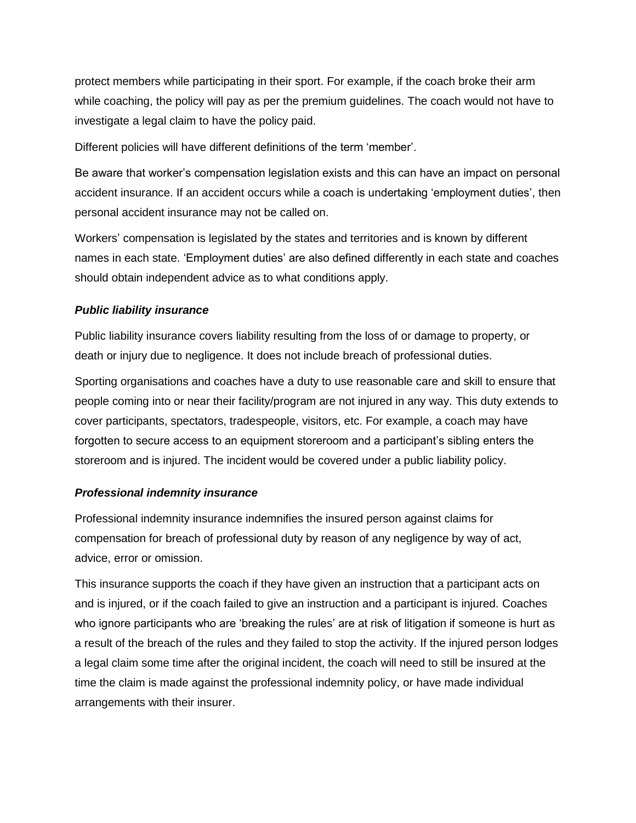protect members while participating in their sport. For example, if the coach broke their arm while coaching, the policy will pay as per the premium guidelines. The coach would not have to investigate a legal claim to have the policy paid.

Different policies will have different definitions of the term 'member'.

Be aware that worker's compensation legislation exists and this can have an impact on personal accident insurance. If an accident occurs while a coach is undertaking 'employment duties', then personal accident insurance may not be called on.

Workers' compensation is legislated by the states and territories and is known by different names in each state. 'Employment duties' are also defined differently in each state and coaches should obtain independent advice as to what conditions apply.

#### *Public liability insurance*

Public liability insurance covers liability resulting from the loss of or damage to property, or death or injury due to negligence. It does not include breach of professional duties.

Sporting organisations and coaches have a duty to use reasonable care and skill to ensure that people coming into or near their facility/program are not injured in any way. This duty extends to cover participants, spectators, tradespeople, visitors, etc. For example, a coach may have forgotten to secure access to an equipment storeroom and a participant's sibling enters the storeroom and is injured. The incident would be covered under a public liability policy.

#### *Professional indemnity insurance*

Professional indemnity insurance indemnifies the insured person against claims for compensation for breach of professional duty by reason of any negligence by way of act, advice, error or omission.

This insurance supports the coach if they have given an instruction that a participant acts on and is injured, or if the coach failed to give an instruction and a participant is injured. Coaches who ignore participants who are 'breaking the rules' are at risk of litigation if someone is hurt as a result of the breach of the rules and they failed to stop the activity. If the injured person lodges a legal claim some time after the original incident, the coach will need to still be insured at the time the claim is made against the professional indemnity policy, or have made individual arrangements with their insurer.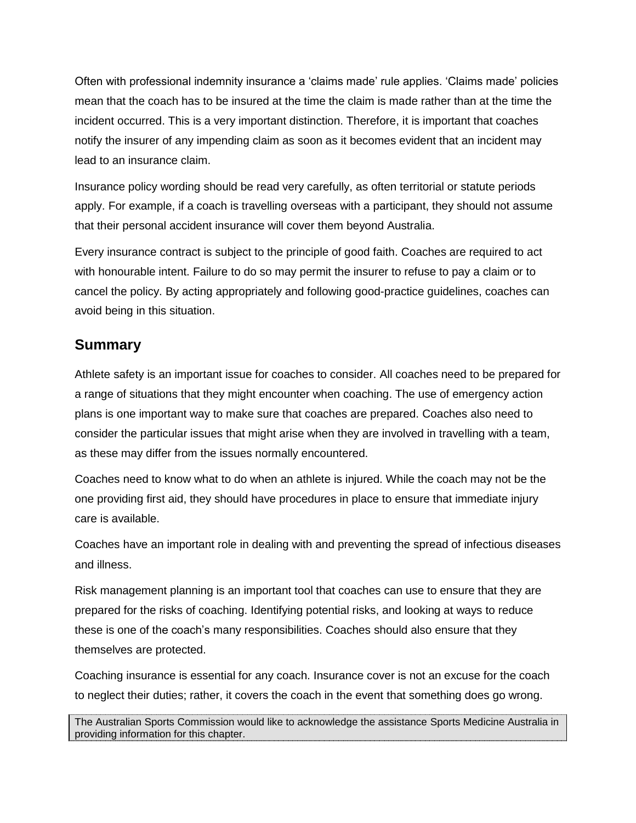Often with professional indemnity insurance a 'claims made' rule applies. 'Claims made' policies mean that the coach has to be insured at the time the claim is made rather than at the time the incident occurred. This is a very important distinction. Therefore, it is important that coaches notify the insurer of any impending claim as soon as it becomes evident that an incident may lead to an insurance claim.

Insurance policy wording should be read very carefully, as often territorial or statute periods apply. For example, if a coach is travelling overseas with a participant, they should not assume that their personal accident insurance will cover them beyond Australia.

Every insurance contract is subject to the principle of good faith. Coaches are required to act with honourable intent. Failure to do so may permit the insurer to refuse to pay a claim or to cancel the policy. By acting appropriately and following good-practice guidelines, coaches can avoid being in this situation.

### **Summary**

Athlete safety is an important issue for coaches to consider. All coaches need to be prepared for a range of situations that they might encounter when coaching. The use of emergency action plans is one important way to make sure that coaches are prepared. Coaches also need to consider the particular issues that might arise when they are involved in travelling with a team, as these may differ from the issues normally encountered.

Coaches need to know what to do when an athlete is injured. While the coach may not be the one providing first aid, they should have procedures in place to ensure that immediate injury care is available.

Coaches have an important role in dealing with and preventing the spread of infectious diseases and illness.

Risk management planning is an important tool that coaches can use to ensure that they are prepared for the risks of coaching. Identifying potential risks, and looking at ways to reduce these is one of the coach's many responsibilities. Coaches should also ensure that they themselves are protected.

Coaching insurance is essential for any coach. Insurance cover is not an excuse for the coach to neglect their duties; rather, it covers the coach in the event that something does go wrong.

The Australian Sports Commission would like to acknowledge the assistance Sports Medicine Australia in providing information for this chapter.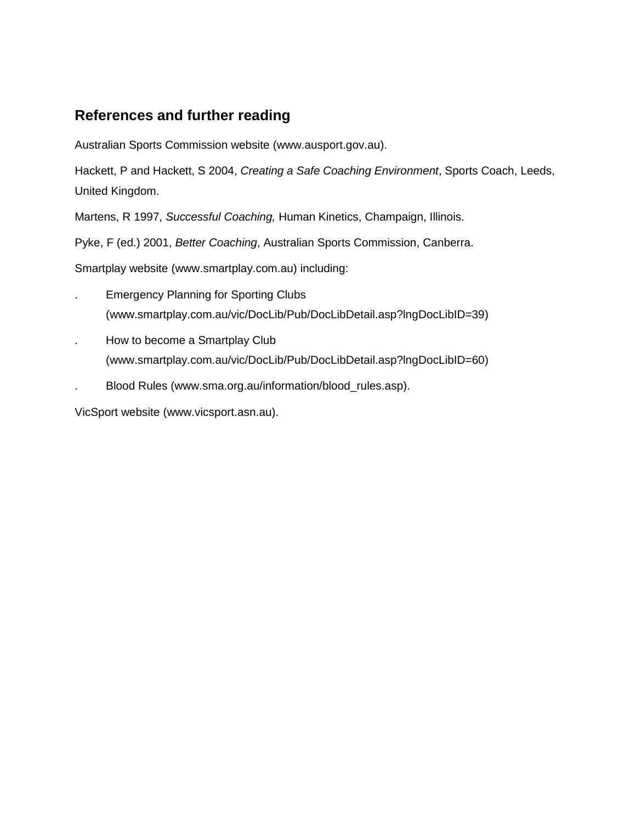## **References and further reading**

Australian Sports Commission website (www[.ausport.gov.au\)](http://www.ausport.gov.au/).

Hackett, P and Hackett, S 2004, *Creating a Safe Coaching Environment*, Sports Coach, Leeds, United Kingdom.

Martens, R 1997, *Successful Coaching,* Human Kinetics, Champaign, Illinois.

Pyke, F (ed.) 2001, *Better Coaching*, Australian Sports Commission, Canberra.

Smartplay website (www.smartplay.com.au) including:

- . Emergency Planning for Sporting Clubs (www.smartplay.com.au/vic/DocLib/Pub/DocLibDetail.asp?lngDocLibID=39)
- . How to become a Smartplay Club (www.smartplay.com.au/vic/DocLib/Pub/DocLibDetail.asp?lngDocLibID=60)
- . Blood Rules (www[.sma.org.au/information/blood\\_rules.asp\)](http://www.sma.org.au/information/blood_rules.asp).

VicSport website [\(www.vicsport.asn.au\)](http://www.vicsport.asn.au/).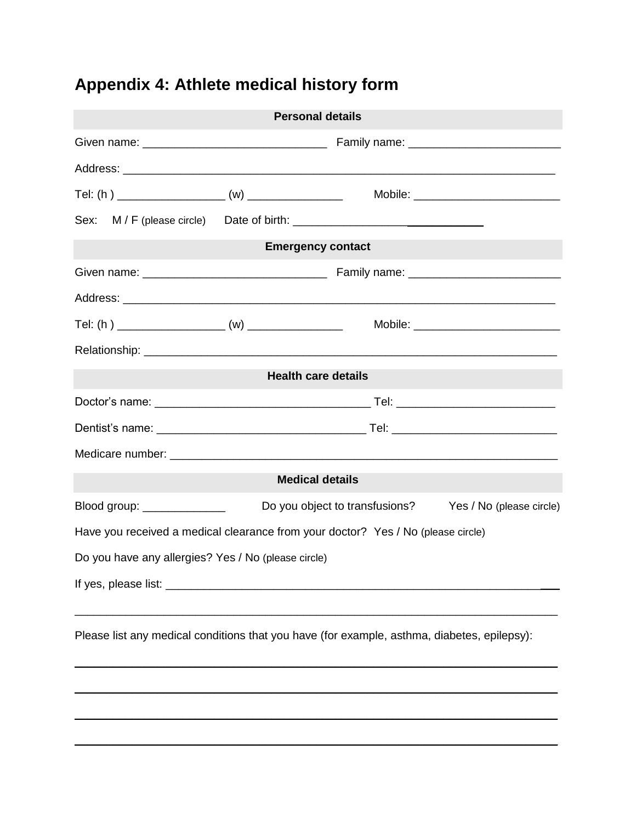# **Appendix 4: Athlete medical history form**

| <b>Personal details</b>                             |                        |                                                                                             |                          |  |  |
|-----------------------------------------------------|------------------------|---------------------------------------------------------------------------------------------|--------------------------|--|--|
|                                                     |                        |                                                                                             |                          |  |  |
|                                                     |                        |                                                                                             |                          |  |  |
|                                                     |                        |                                                                                             |                          |  |  |
|                                                     |                        |                                                                                             |                          |  |  |
|                                                     |                        | <b>Emergency contact</b>                                                                    |                          |  |  |
|                                                     |                        |                                                                                             |                          |  |  |
|                                                     |                        |                                                                                             |                          |  |  |
|                                                     |                        |                                                                                             |                          |  |  |
|                                                     |                        |                                                                                             |                          |  |  |
|                                                     |                        | <b>Health care details</b>                                                                  |                          |  |  |
|                                                     |                        |                                                                                             |                          |  |  |
|                                                     |                        |                                                                                             |                          |  |  |
|                                                     |                        |                                                                                             |                          |  |  |
|                                                     | <b>Medical details</b> |                                                                                             |                          |  |  |
| Blood group: ______________                         |                        | Do you object to transfusions?                                                              | Yes / No (please circle) |  |  |
|                                                     |                        | Have you received a medical clearance from your doctor? Yes / No (please circle)            |                          |  |  |
| Do you have any allergies? Yes / No (please circle) |                        |                                                                                             |                          |  |  |
|                                                     |                        |                                                                                             |                          |  |  |
|                                                     |                        | Please list any medical conditions that you have (for example, asthma, diabetes, epilepsy): |                          |  |  |

\_\_\_\_\_\_\_\_\_\_\_\_\_\_\_\_\_\_\_\_\_\_\_\_\_\_\_\_\_\_\_\_\_\_\_\_\_\_\_\_\_\_\_\_\_\_\_\_\_\_\_\_\_\_\_\_\_\_\_\_\_\_\_\_\_\_\_\_\_\_\_\_\_\_\_\_ \_\_\_\_\_\_\_\_\_\_\_\_\_\_\_\_\_\_\_\_\_\_\_\_\_\_\_\_\_\_\_\_\_\_\_\_\_\_\_\_\_\_\_\_\_\_\_\_\_\_\_\_\_\_\_\_\_\_\_\_\_\_\_\_\_\_\_\_\_\_\_\_\_\_\_\_

\_\_\_\_\_\_\_\_\_\_\_\_\_\_\_\_\_\_\_\_\_\_\_\_\_\_\_\_\_\_\_\_\_\_\_\_\_\_\_\_\_\_\_\_\_\_\_\_\_\_\_\_\_\_\_\_\_\_\_\_\_\_\_\_\_\_\_\_\_\_\_\_\_\_\_\_

\_\_\_\_\_\_\_\_\_\_\_\_\_\_\_\_\_\_\_\_\_\_\_\_\_\_\_\_\_\_\_\_\_\_\_\_\_\_\_\_\_\_\_\_\_\_\_\_\_\_\_\_\_\_\_\_\_\_\_\_\_\_\_\_\_\_\_\_\_\_\_\_\_\_\_\_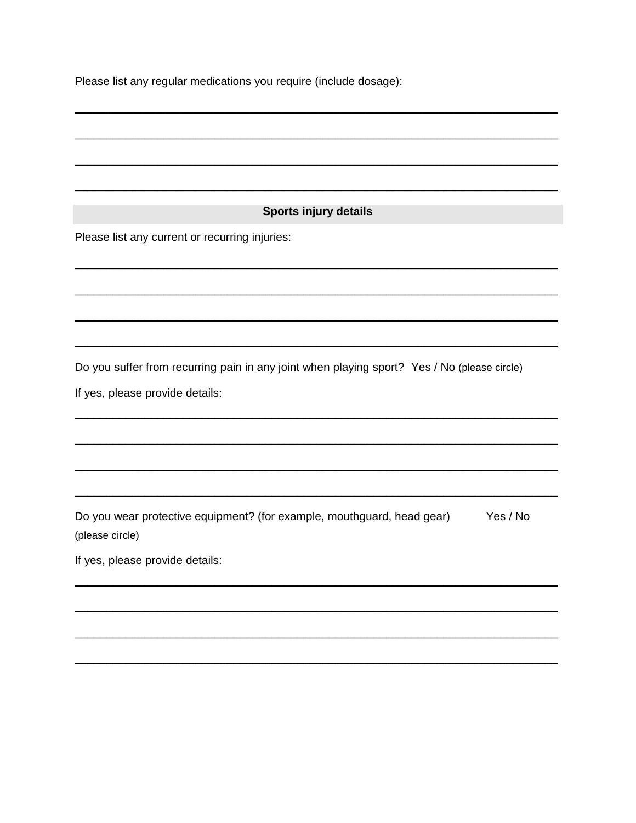Please list any regular medications you require (include dosage):

#### **Sports injury details**

Please list any current or recurring injuries:

Do you suffer from recurring pain in any joint when playing sport? Yes / No (please circle)

If yes, please provide details:

Do you wear protective equipment? (for example, mouthguard, head gear) Yes / No (please circle)

If yes, please provide details: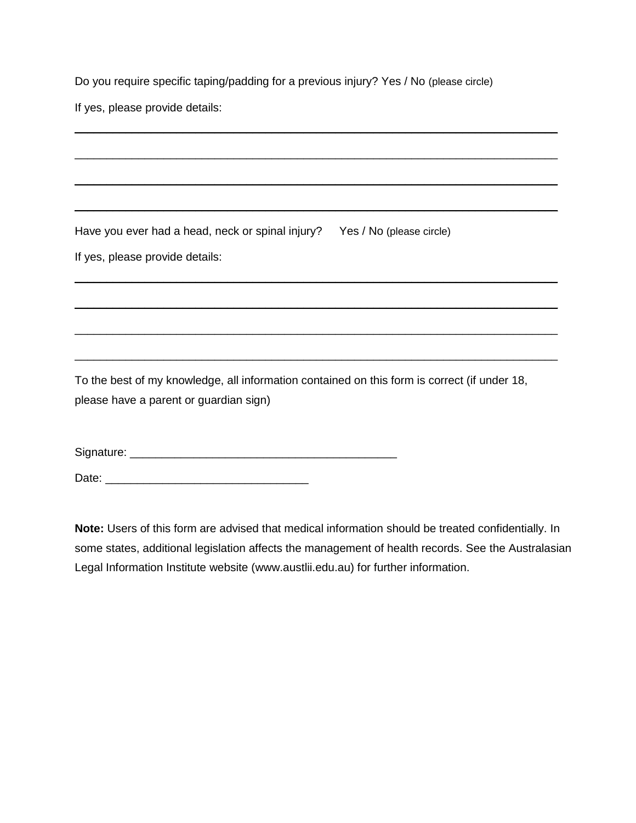Do you require specific taping/padding for a previous injury? Yes / No (please circle)

\_\_\_\_\_\_\_\_\_\_\_\_\_\_\_\_\_\_\_\_\_\_\_\_\_\_\_\_\_\_\_\_\_\_\_\_\_\_\_\_\_\_\_\_\_\_\_\_\_\_\_\_\_\_\_\_\_\_\_\_\_\_\_\_\_\_\_\_\_\_\_\_\_\_\_\_

\_\_\_\_\_\_\_\_\_\_\_\_\_\_\_\_\_\_\_\_\_\_\_\_\_\_\_\_\_\_\_\_\_\_\_\_\_\_\_\_\_\_\_\_\_\_\_\_\_\_\_\_\_\_\_\_\_\_\_\_\_\_\_\_\_\_\_\_\_\_\_\_\_\_\_\_

\_\_\_\_\_\_\_\_\_\_\_\_\_\_\_\_\_\_\_\_\_\_\_\_\_\_\_\_\_\_\_\_\_\_\_\_\_\_\_\_\_\_\_\_\_\_\_\_\_\_\_\_\_\_\_\_\_\_\_\_\_\_\_\_\_\_\_\_\_\_\_\_\_\_\_\_

\_\_\_\_\_\_\_\_\_\_\_\_\_\_\_\_\_\_\_\_\_\_\_\_\_\_\_\_\_\_\_\_\_\_\_\_\_\_\_\_\_\_\_\_\_\_\_\_\_\_\_\_\_\_\_\_\_\_\_\_\_\_\_\_\_\_\_\_\_\_\_\_\_\_\_\_

\_\_\_\_\_\_\_\_\_\_\_\_\_\_\_\_\_\_\_\_\_\_\_\_\_\_\_\_\_\_\_\_\_\_\_\_\_\_\_\_\_\_\_\_\_\_\_\_\_\_\_\_\_\_\_\_\_\_\_\_\_\_\_\_\_\_\_\_\_\_\_\_\_\_\_\_

\_\_\_\_\_\_\_\_\_\_\_\_\_\_\_\_\_\_\_\_\_\_\_\_\_\_\_\_\_\_\_\_\_\_\_\_\_\_\_\_\_\_\_\_\_\_\_\_\_\_\_\_\_\_\_\_\_\_\_\_\_\_\_\_\_\_\_\_\_\_\_\_\_\_\_\_

 $\mathcal{L}_\mathcal{L} = \mathcal{L}_\mathcal{L} = \mathcal{L}_\mathcal{L} = \mathcal{L}_\mathcal{L} = \mathcal{L}_\mathcal{L} = \mathcal{L}_\mathcal{L} = \mathcal{L}_\mathcal{L} = \mathcal{L}_\mathcal{L} = \mathcal{L}_\mathcal{L} = \mathcal{L}_\mathcal{L} = \mathcal{L}_\mathcal{L} = \mathcal{L}_\mathcal{L} = \mathcal{L}_\mathcal{L} = \mathcal{L}_\mathcal{L} = \mathcal{L}_\mathcal{L} = \mathcal{L}_\mathcal{L} = \mathcal{L}_\mathcal{L}$ 

\_\_\_\_\_\_\_\_\_\_\_\_\_\_\_\_\_\_\_\_\_\_\_\_\_\_\_\_\_\_\_\_\_\_\_\_\_\_\_\_\_\_\_\_\_\_\_\_\_\_\_\_\_\_\_\_\_\_\_\_\_\_\_\_\_\_\_\_\_\_\_\_\_\_\_\_

If yes, please provide details:

Have you ever had a head, neck or spinal injury? Yes / No (please circle) If yes, please provide details:

To the best of my knowledge, all information contained on this form is correct (if under 18, please have a parent or guardian sign)

Signature: \_\_\_\_\_\_\_\_\_\_\_\_\_\_\_\_\_\_\_\_\_\_\_\_\_\_\_\_\_\_\_\_\_\_\_\_\_\_\_\_\_\_

Date: \_\_\_\_\_\_\_\_\_\_\_\_\_\_\_\_\_\_\_\_\_\_\_\_\_\_\_\_\_\_\_\_

**Note:** Users of this form are advised that medical information should be treated confidentially. In some states, additional legislation affects the management of health records. See the Australasian Legal Information Institute website (www.austlii.edu.au) for further information.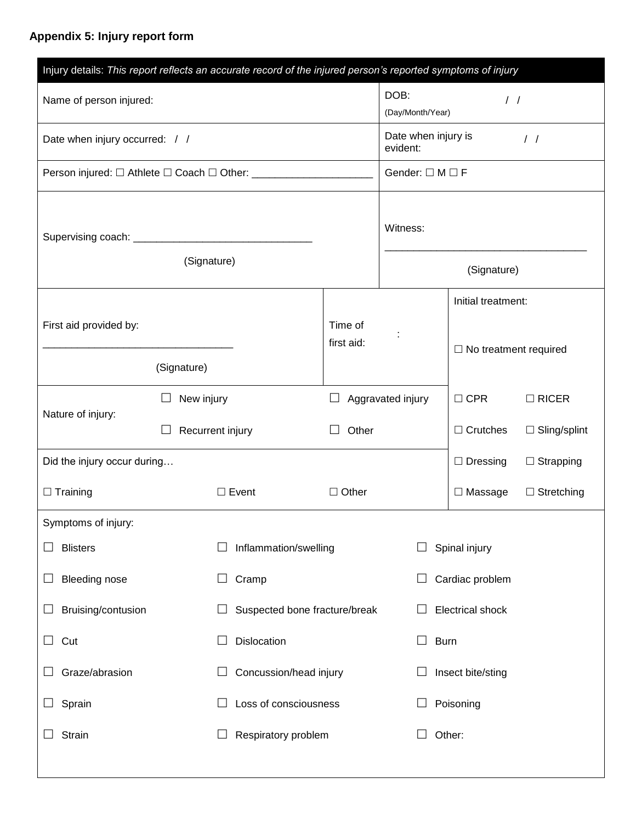## **Appendix 5: Injury report form**

| Injury details: This report reflects an accurate record of the injured person's reported symptoms of injury |            |                                                            |                                                  |                               |                              |                     |
|-------------------------------------------------------------------------------------------------------------|------------|------------------------------------------------------------|--------------------------------------------------|-------------------------------|------------------------------|---------------------|
| Name of person injured:                                                                                     |            | DOB:<br>$\frac{1}{2}$<br>(Day/Month/Year)                  |                                                  |                               |                              |                     |
| Date when injury occurred: / /                                                                              |            |                                                            | Date when injury is<br>$\frac{1}{2}$<br>evident: |                               |                              |                     |
|                                                                                                             |            | Person injured: □ Athlete □ Coach □ Other: _______________ |                                                  | Gender: $\square M \square F$ |                              |                     |
| (Signature)                                                                                                 |            | Witness:                                                   |                                                  |                               |                              |                     |
|                                                                                                             |            |                                                            |                                                  | (Signature)                   |                              |                     |
|                                                                                                             |            |                                                            |                                                  |                               | Initial treatment:           |                     |
| First aid provided by:                                                                                      |            |                                                            | Time of<br>first aid:                            |                               | $\Box$ No treatment required |                     |
| (Signature)                                                                                                 |            |                                                            |                                                  |                               |                              |                     |
|                                                                                                             | New injury |                                                            |                                                  | Aggravated injury             | $\Box$ CPR                   | $\Box$ RICER        |
| Nature of injury:                                                                                           |            | Recurrent injury                                           |                                                  |                               | $\Box$ Crutches              | $\Box$ Sling/splint |
| Did the injury occur during                                                                                 |            |                                                            |                                                  |                               | $\Box$ Dressing              | $\Box$ Strapping    |
| $\Box$ Training                                                                                             |            | $\Box$ Event                                               | $\Box$ Other                                     |                               | $\Box$ Massage               | $\Box$ Stretching   |
| Symptoms of injury:                                                                                         |            |                                                            |                                                  |                               |                              |                     |
| <b>Blisters</b>                                                                                             |            | Inflammation/swelling                                      |                                                  |                               | Spinal injury                |                     |
| <b>Bleeding nose</b>                                                                                        |            | Cramp<br>$\Box$                                            |                                                  |                               | Cardiac problem              |                     |
| Bruising/contusion                                                                                          |            | Suspected bone fracture/break                              |                                                  |                               | <b>Electrical shock</b>      |                     |
| Cut<br>$\Box$                                                                                               |            | Dislocation<br>$\Box$                                      |                                                  | <b>Burn</b><br>$\Box$         |                              |                     |
| Graze/abrasion                                                                                              |            | Concussion/head injury                                     |                                                  |                               | Insect bite/sting            |                     |
| Sprain                                                                                                      |            | Loss of consciousness                                      |                                                  | Poisoning                     |                              |                     |
| Strain                                                                                                      |            | Respiratory problem<br>ப                                   |                                                  |                               | Other:                       |                     |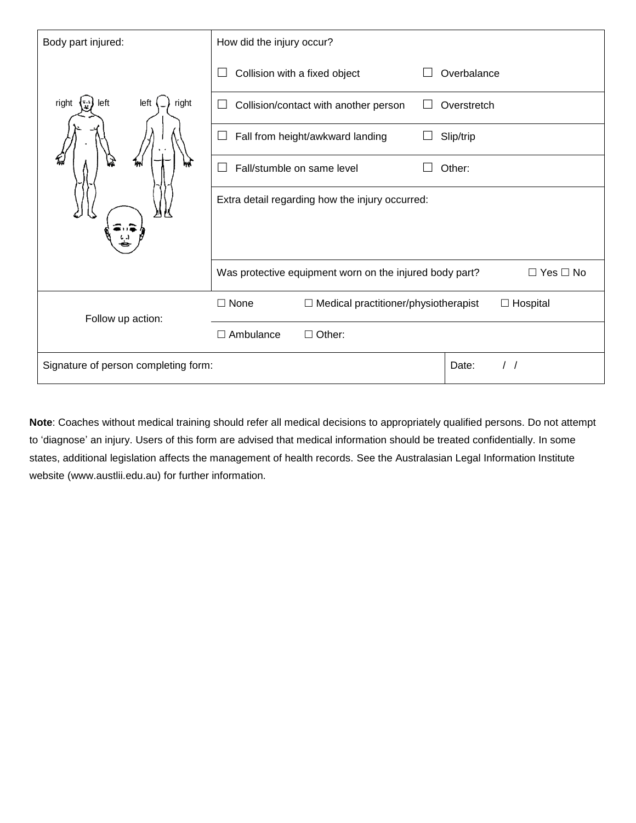| Body part injured:                   | How did the injury occur?                                        |              |               |                      |
|--------------------------------------|------------------------------------------------------------------|--------------|---------------|----------------------|
|                                      | Collision with a fixed object                                    |              | Overbalance   |                      |
| left<br>right<br>right<br>left       | Collision/contact with another person                            | $\mathsf{L}$ | Overstretch   |                      |
|                                      | Fall from height/awkward landing<br>$\Box$                       |              | Slip/trip     |                      |
|                                      | Fall/stumble on same level                                       |              | Other:        |                      |
|                                      | Extra detail regarding how the injury occurred:                  |              |               |                      |
|                                      |                                                                  |              |               |                      |
|                                      | Was protective equipment worn on the injured body part?          |              |               | $\Box$ Yes $\Box$ No |
| Follow up action:                    | $\square$ None<br>Medical practitioner/physiotherapist<br>$\Box$ |              | Hospital<br>□ |                      |
|                                      | $\Box$ Ambulance<br>Other:<br>П                                  |              |               |                      |
| Signature of person completing form: |                                                                  |              | Date:         |                      |

**Note**: Coaches without medical training should refer all medical decisions to appropriately qualified persons. Do not attempt to 'diagnose' an injury. Users of this form are advised that medical information should be treated confidentially. In some states, additional legislation affects the management of health records. See the Australasian Legal Information Institute website (www.austlii.edu.au) for further information.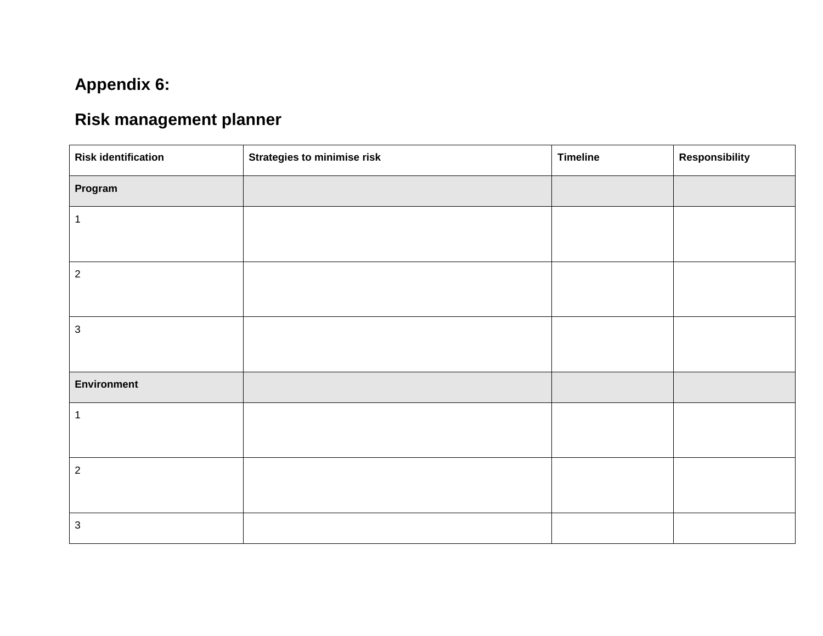## **Appendix 6:**

## **Risk management planner**

| <b>Risk identification</b> | <b>Strategies to minimise risk</b> | <b>Timeline</b> | <b>Responsibility</b> |
|----------------------------|------------------------------------|-----------------|-----------------------|
| Program                    |                                    |                 |                       |
| $\mathbf{1}$               |                                    |                 |                       |
|                            |                                    |                 |                       |
| $\overline{2}$             |                                    |                 |                       |
|                            |                                    |                 |                       |
| $\mathbf{3}$               |                                    |                 |                       |
|                            |                                    |                 |                       |
| <b>Environment</b>         |                                    |                 |                       |
| $\mathbf{1}$               |                                    |                 |                       |
|                            |                                    |                 |                       |
| $\overline{2}$             |                                    |                 |                       |
|                            |                                    |                 |                       |
| $\mathbf{3}$               |                                    |                 |                       |